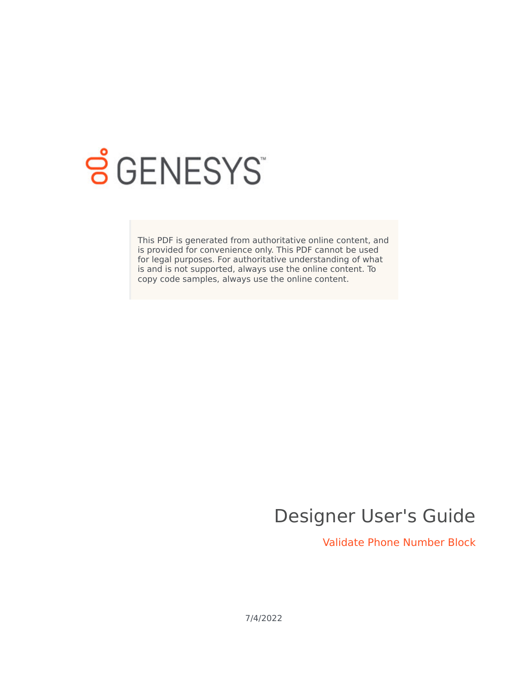

# **SGENESYS**

This PDF is generated from authoritative online content, and is provided for convenience only. This PDF cannot be used for legal purposes. For authoritative understanding of what is and is not supported, always use the online content. To copy code samples, always use the online content.

# Designer User's Guide

Validate Phone Number Block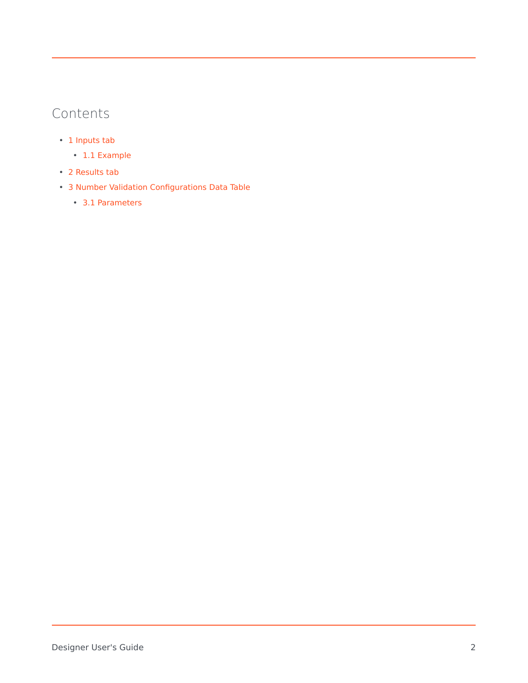## Contents

- 1 [Inputs tab](#page-2-0)
	- 1.1 [Example](#page-3-0)
- 2 [Results tab](#page-3-1)
- 3 [Number Validation Configurations Data Table](#page-3-2)
	- 3.1 [Parameters](#page-3-3)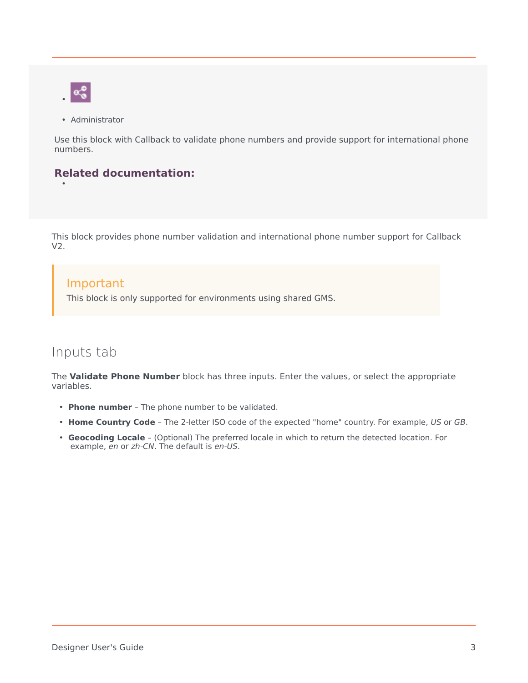

•

• Administrator

Use this block with Callback to validate phone numbers and provide support for international phone numbers.

#### **Related documentation:**

This block provides phone number validation and international phone number support for Callback V2.

#### Important

This block is only supported for environments using shared GMS.

#### <span id="page-2-0"></span>Inputs tab

The **Validate Phone Number** block has three inputs. Enter the values, or select the appropriate variables.

- **Phone number** The phone number to be validated.
- **Home Country Code** The 2-letter ISO code of the expected "home" country. For example, *US* or *GB*.
- **Geocoding Locale** (Optional) The preferred locale in which to return the detected location. For example, *en* or *zh-CN*. The default is *en-US*.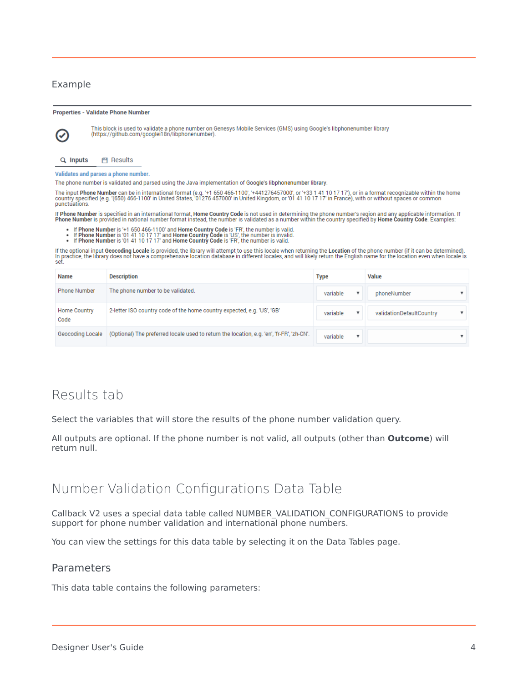#### <span id="page-3-0"></span>Example

(V

**Properties - Validate Phone Number** 

This block is used to validate a phone number on Genesys Mobile Services (GMS) using Google's libphonenumber library<br>(https://github.com/googlei18n/libphonenumber).



FI Results

Validates and parses a phone number.

The phone number is validated and parsed using the Java implementation of Google's libphonenumber library.

The input **Phone Number** can be in international format (e.g. '+1 650 466-1100', '+441276457000', or '+33 1 41 10 17 17'), or in a format recognizable within the home<br>country specified (e.g. '(650) 466-1100' in United Stat punctuations.

If Phone Number is specified in an international format, Home Country Code is not used in determining the phone number's region and any applicable information. If<br>Phone Number is provided in national number format instead,

- 
- If Phone Number is '+1 650 466-1100' and Home Country Code is 'FR', the number is valid.<br>If Phone Number is '01 41 10 17 17' and Home Country Code is 'US', the number is invalid.<br>If Phone Number is '01 41 10 17 17' and Hom
- 

The prioric is to the filter optional input Geocoding Locale is provided, the library will attempt to use this locale when returning the Location of the phone number (if it can be determined).<br>In practice, the library does

| <b>Name</b>                 | <b>Description</b>                                                                        | <b>Type</b>   | Value                    |
|-----------------------------|-------------------------------------------------------------------------------------------|---------------|--------------------------|
| <b>Phone Number</b>         | The phone number to be validated.                                                         | variable      | phoneNumber              |
| <b>Home Country</b><br>Code | 2-letter ISO country code of the home country expected, e.g. 'US', 'GB'                   | variable<br>▼ | validationDefaultCountry |
| Geocoding Locale            | (Optional) The preferred locale used to return the location, e.g. 'en', 'fr-FR', 'zh-CN'. | variable<br>▼ |                          |

## <span id="page-3-1"></span>Results tab

Select the variables that will store the results of the phone number validation query.

All outputs are optional. If the phone number is not valid, all outputs (other than **Outcome**) will return null.

#### <span id="page-3-2"></span>Number Validation Configurations Data Table

Callback V2 uses a special data table called NUMBER\_VALIDATION\_CONFIGURATIONS to provide support for phone number validation and international phone numbers.

You can view the settings for this data table by selecting it on the Data Tables page.

#### <span id="page-3-3"></span>Parameters

This data table contains the following parameters: